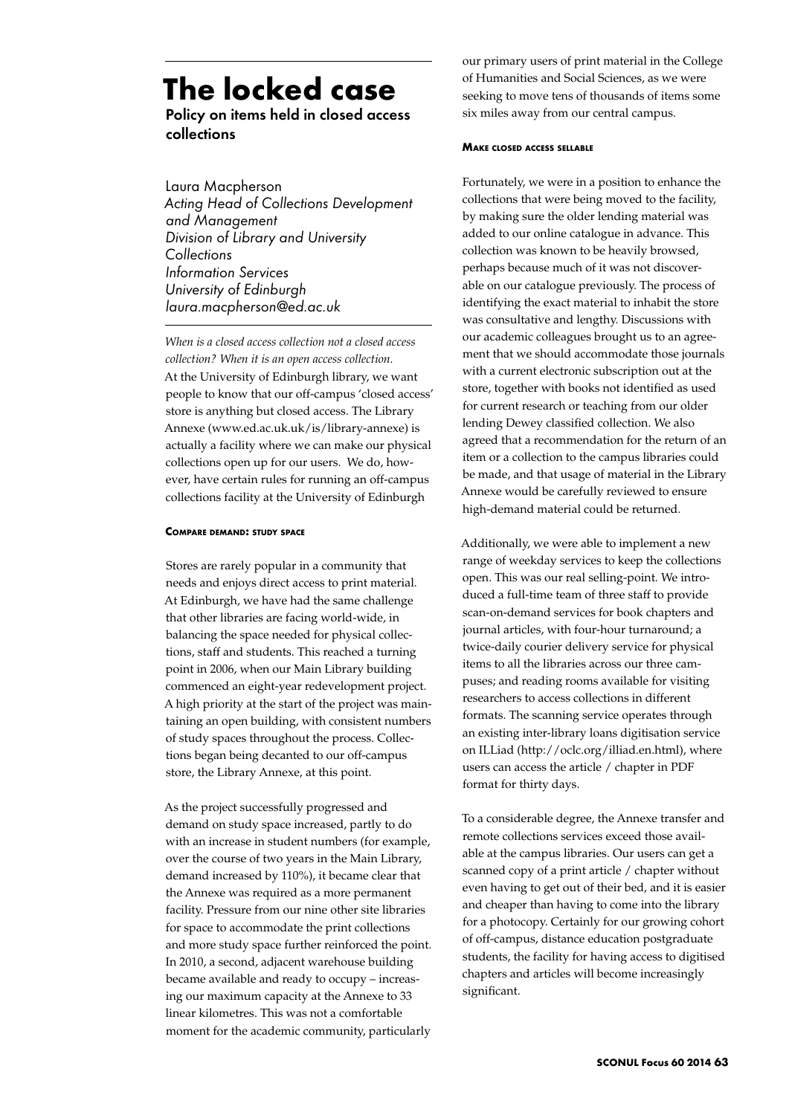# **The locked case**

Policy on items held in closed access collections

Laura Macpherson *Acting Head of Collections Development and Management Division of Library and University Collections Information Services University of Edinburgh laura.macpherson@ed.ac.uk*

*When is a closed access collection not a closed access collection? When it is an open access collection.*  At the University of Edinburgh library, we want people to know that our off-campus 'closed access' store is anything but closed access. The Library Annexe (www.ed.ac.uk.uk/is/library-annexe) is actually a facility where we can make our physical collections open up for our users. We do, however, have certain rules for running an off-campus collections facility at the University of Edinburgh

# **Compare demand: study space**

Stores are rarely popular in a community that needs and enjoys direct access to print material. At Edinburgh, we have had the same challenge that other libraries are facing world-wide, in balancing the space needed for physical collections, staff and students. This reached a turning point in 2006, when our Main Library building commenced an eight-year redevelopment project. A high priority at the start of the project was maintaining an open building, with consistent numbers of study spaces throughout the process. Collections began being decanted to our off-campus store, the Library Annexe, at this point.

As the project successfully progressed and demand on study space increased, partly to do with an increase in student numbers (for example, over the course of two years in the Main Library, demand increased by 110%), it became clear that the Annexe was required as a more permanent facility. Pressure from our nine other site libraries for space to accommodate the print collections and more study space further reinforced the point. In 2010, a second, adjacent warehouse building became available and ready to occupy – increasing our maximum capacity at the Annexe to 33 linear kilometres. This was not a comfortable moment for the academic community, particularly

our primary users of print material in the College of Humanities and Social Sciences, as we were seeking to move tens of thousands of items some six miles away from our central campus.

### **Make closed access sellable**

Fortunately, we were in a position to enhance the collections that were being moved to the facility, by making sure the older lending material was added to our online catalogue in advance. This collection was known to be heavily browsed, perhaps because much of it was not discoverable on our catalogue previously. The process of identifying the exact material to inhabit the store was consultative and lengthy. Discussions with our academic colleagues brought us to an agreement that we should accommodate those journals with a current electronic subscription out at the store, together with books not identified as used for current research or teaching from our older lending Dewey classified collection. We also agreed that a recommendation for the return of an item or a collection to the campus libraries could be made, and that usage of material in the Library Annexe would be carefully reviewed to ensure high-demand material could be returned.

Additionally, we were able to implement a new range of weekday services to keep the collections open. This was our real selling-point. We introduced a full-time team of three staff to provide scan-on-demand services for book chapters and journal articles, with four-hour turnaround; a twice-daily courier delivery service for physical items to all the libraries across our three campuses; and reading rooms available for visiting researchers to access collections in different formats. The scanning service operates through an existing inter-library loans digitisation service on ILLiad (http://oclc.org/illiad.en.html), where users can access the article / chapter in PDF format for thirty days.

To a considerable degree, the Annexe transfer and remote collections services exceed those available at the campus libraries. Our users can get a scanned copy of a print article / chapter without even having to get out of their bed, and it is easier and cheaper than having to come into the library for a photocopy. Certainly for our growing cohort of off-campus, distance education postgraduate students, the facility for having access to digitised chapters and articles will become increasingly significant.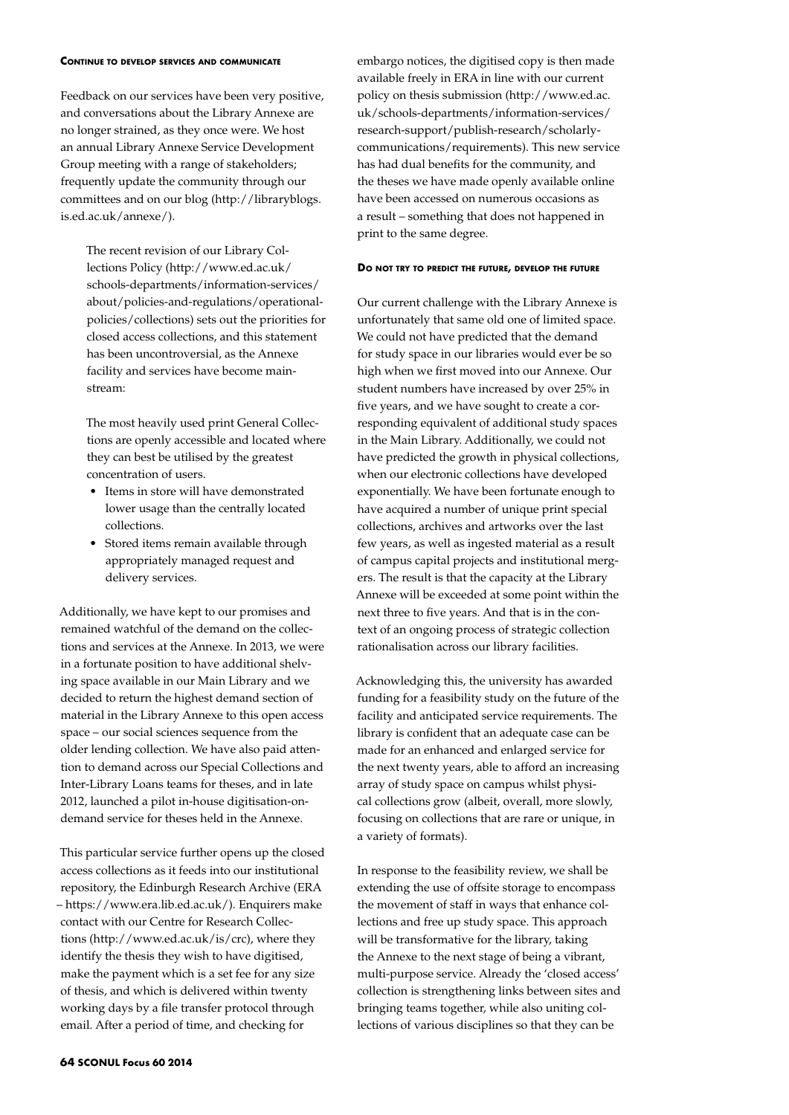#### **Continue to develop services and communicate**

Feedback on our services have been very positive, and conversations about the Library Annexe are no longer strained, as they once were. We host an annual Library Annexe Service Development Group meeting with a range of stakeholders; frequently update the community through our committees and on our blog (http://libraryblogs. is.ed.ac.uk/annexe/).

The recent revision of our Library Collections Policy (http://www.ed.ac.uk/ schools-departments/information-services/ about/policies-and-regulations/operationalpolicies/collections) sets out the priorities for closed access collections, and this statement has been uncontroversial, as the Annexe facility and services have become mainstream:

The most heavily used print General Collections are openly accessible and located where they can best be utilised by the greatest concentration of users.

- • Items in store will have demonstrated lower usage than the centrally located collections.
- • Stored items remain available through appropriately managed request and delivery services.

Additionally, we have kept to our promises and remained watchful of the demand on the collections and services at the Annexe. In 2013, we were in a fortunate position to have additional shelving space available in our Main Library and we decided to return the highest demand section of material in the Library Annexe to this open access space – our social sciences sequence from the older lending collection. We have also paid attention to demand across our Special Collections and Inter-Library Loans teams for theses, and in late 2012, launched a pilot in-house digitisation-ondemand service for theses held in the Annexe.

This particular service further opens up the closed access collections as it feeds into our institutional repository, the Edinburgh Research Archive (ERA – https://www.era.lib.ed.ac.uk/). Enquirers make contact with our Centre for Research Collections (http://www.ed.ac.uk/is/crc), where they identify the thesis they wish to have digitised, make the payment which is a set fee for any size of thesis, and which is delivered within twenty working days by a file transfer protocol through email. After a period of time, and checking for

embargo notices, the digitised copy is then made available freely in ERA in line with our current policy on thesis submission (http://www.ed.ac. uk/schools-departments/information-services/ research-support/publish-research/scholarlycommunications/requirements). This new service has had dual benefits for the community, and the theses we have made openly available online have been accessed on numerous occasions as a result – something that does not happened in print to the same degree.

# **Do not try to predict the future, develop the future**

Our current challenge with the Library Annexe is unfortunately that same old one of limited space. We could not have predicted that the demand for study space in our libraries would ever be so high when we first moved into our Annexe. Our student numbers have increased by over 25% in five years, and we have sought to create a corresponding equivalent of additional study spaces in the Main Library. Additionally, we could not have predicted the growth in physical collections, when our electronic collections have developed exponentially. We have been fortunate enough to have acquired a number of unique print special collections, archives and artworks over the last few years, as well as ingested material as a result of campus capital projects and institutional mergers. The result is that the capacity at the Library Annexe will be exceeded at some point within the next three to five years. And that is in the context of an ongoing process of strategic collection rationalisation across our library facilities.

Acknowledging this, the university has awarded funding for a feasibility study on the future of the facility and anticipated service requirements. The library is confident that an adequate case can be made for an enhanced and enlarged service for the next twenty years, able to afford an increasing array of study space on campus whilst physical collections grow (albeit, overall, more slowly, focusing on collections that are rare or unique, in a variety of formats).

In response to the feasibility review, we shall be extending the use of offsite storage to encompass the movement of staff in ways that enhance collections and free up study space. This approach will be transformative for the library, taking the Annexe to the next stage of being a vibrant, multi-purpose service. Already the 'closed access' collection is strengthening links between sites and bringing teams together, while also uniting collections of various disciplines so that they can be